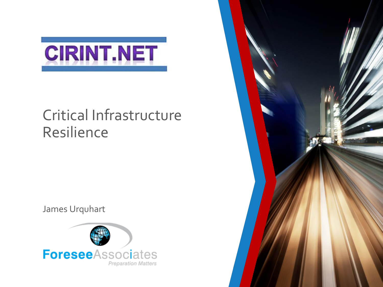

### Critical Infrastructure Resilience

James Urquhart



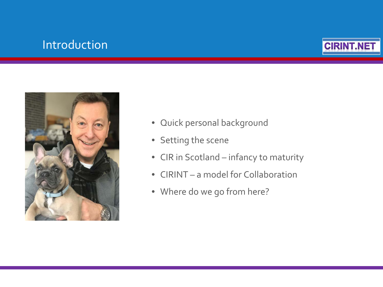### Introduction





- Quick personal background
- Setting the scene
- CIR in Scotland infancy to maturity
- CIRINT a model for Collaboration
- Where do we go from here?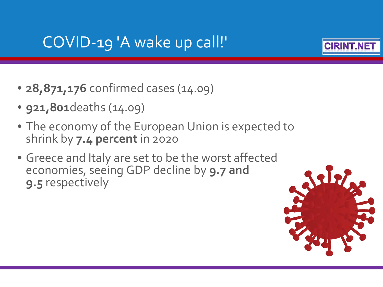### COVID-19 'A wake up call!'



- **28,871,176** confirmed cases (14.09)
- **921,801**deaths (14.09)
- The economy of the European Union is expected to shrink by **7.4 percent** in 2020
- Greece and Italy are set to be the worst affected economies, seeing GDP decline by **9.7 and 9.5** respectively

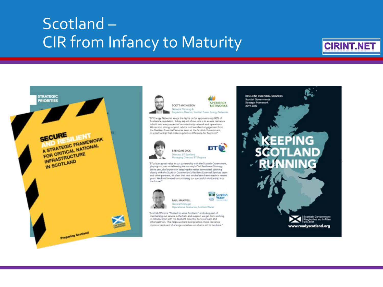### Scotland – CIR from Infancy to Maturity

### **CIRINT.NET**





SP ENERGY *SCOTT MATHESON* **NETWORKS** Network Planning & Regulation Director, Scottish Power Energy Networks

"SP Energy Networks keeps the lights on for approximately 80% of Scatland's population. A key sepect of our role is to ensure realience is built into every aspect of our electricity network and operations. We receive strong support, advice and excellent engagement from the Resilient Essential Services team at the Scottish Government, in a partnership that makes a positive difference for Scotland."





**BT** Managing Director, BT Regions

"BT places great value in our partnership with the Scottish Government, playing our part in delivering the country's Civil Resilience Strategy We're proud of our role in keeping the nation connected. Working closely with the Scottish Government's Resilient Essential Services team and other partners, it's clear that vast strides have been made in recent years. We look forward to continuing our successful relationship into this furture.



 $\blacktriangleright$   $\blacktriangleleft$  Scottish Water PAUL MAXWELL General Manager Operational Realismos, Scottish Water

"Scottish Water is "Trusted to serve Scotland" and a key part of maintaining our service is the help and support we get from working in collaboration with the Resilient Essential Services team and other partners. This helps us share best practice, make resilience improvements and challenge curselves on what is still to be done."

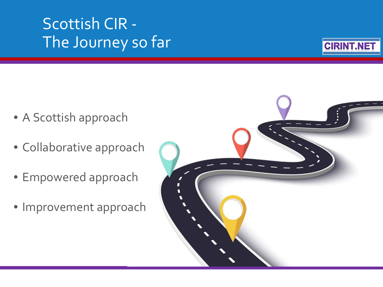## Scottish CIR - The Journey so far



- A Scottish approach
- Collaborative approach
- Empowered approach
- Improvement approach

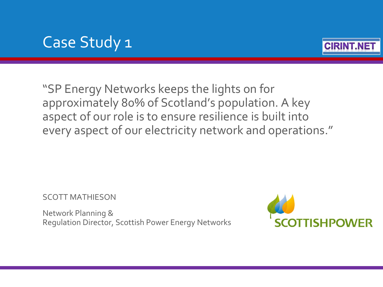### Case Study 1



"SP Energy Networks keeps the lights on for approximately 80% of Scotland's population. A key aspect of our role is to ensure resilience is built into every aspect of our electricity network and operations."

SCOTT MATHIESON

Network Planning & Regulation Director, Scottish Power Energy Networks

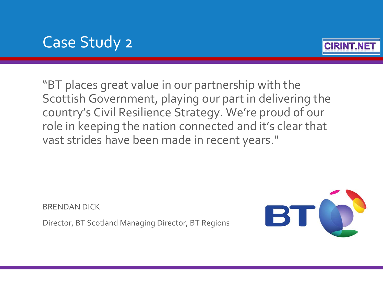### Case Study 2



"BT places great value in our partnership with the Scottish Government, playing our part in delivering the country's Civil Resilience Strategy. We're proud of our role in keeping the nation connected and it's clear that vast strides have been made in recent years."

BRENDAN DICK

Director, BT Scotland Managing Director, BT Regions

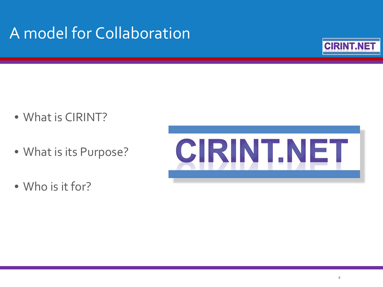## A model for Collaboration



- What is CIRINT?
- What is its Purpose?
- Who is it for?

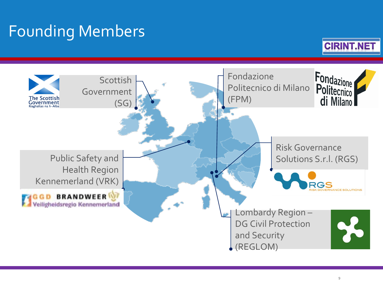## Founding Members



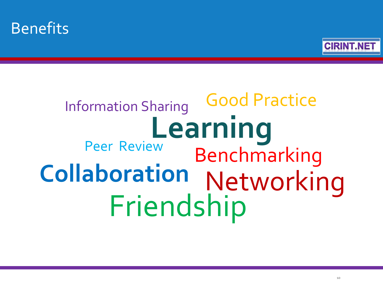



## Information Sharing Learning<br> **Example 18**<br> **Learning** Benchmarking **Collaboration** Networking Good Practice Friendship Peer Review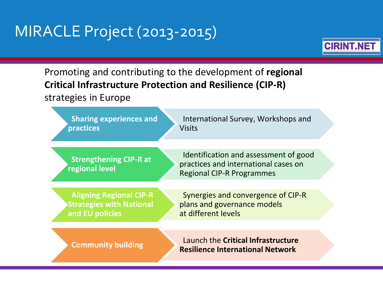### MIRACLE Project (2013-2015)



### Promoting and contributing to the development of **regional Critical Infrastructure Protection and Resilience (CIP-R)**  strategies in Europe

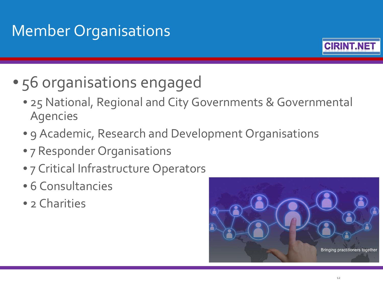## Member Organisations



- 56 organisations engaged
	- 25 National, Regional and City Governments & Governmental Agencies
	- 9 Academic, Research and Development Organisations
	- 7 Responder Organisations
	- 7 Critical Infrastructure Operators
	- 6 Consultancies
	- 2 Charities

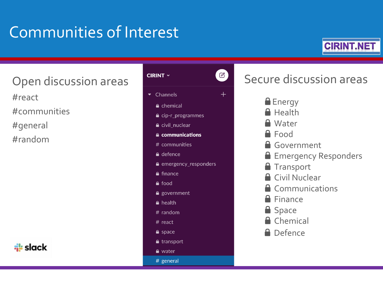## Communities of Interest



Open discussion areas

#react

#communities

#general

#random



#### $\bigcirc$ **CIRINT**  $\sim$  $\bullet$  Channels  $^{+}$ **A** chemical **△** cip-r\_programmes e civil nuclear **A** communications # communities **A** defence e emergency\_responders **A** finance

- $\triangle$  food
- $\triangle$  government
- A health
- $#$  random
- $#$  react
- $\triangle$  space
- $\bullet$  transport
- $\triangle$  water
- # general

### Secure discussion areas

- **E**nergy
- **A** Health
- **A** Water
- **A** Food
- **A** Government
- **Emergency Responders**
- **Transport**
- **A** Civil Nuclear
- **A** Communications
- **A** Finance
- **Space**
- **A** Chemical
- **A** Defence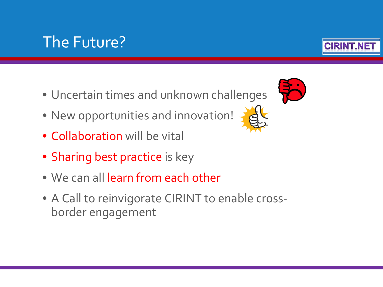### The Future?

- Uncertain times and unknown challenges
- New opportunities and innovation!
- Collaboration will be vital
- Sharing best practice is key
- We can all learn from each other
- A Call to reinvigorate CIRINT to enable crossborder engagement